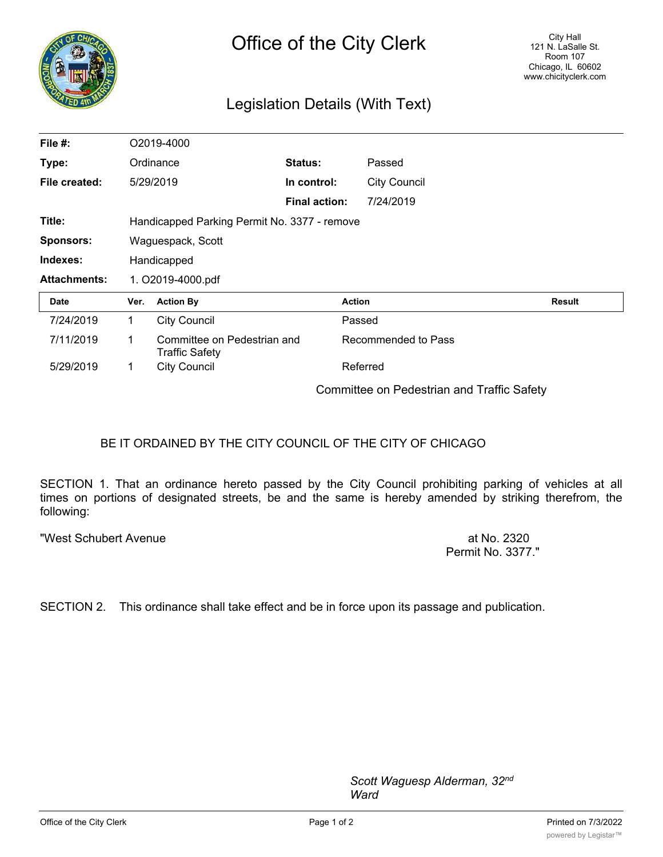

## Legislation Details (With Text)

| File #:             |                                              | O2019-4000                                           |                      |                                            |               |
|---------------------|----------------------------------------------|------------------------------------------------------|----------------------|--------------------------------------------|---------------|
| Type:               | Ordinance                                    |                                                      | Status:              | Passed                                     |               |
| File created:       |                                              | 5/29/2019                                            | In control:          | <b>City Council</b>                        |               |
|                     |                                              |                                                      | <b>Final action:</b> | 7/24/2019                                  |               |
| Title:              | Handicapped Parking Permit No. 3377 - remove |                                                      |                      |                                            |               |
| <b>Sponsors:</b>    | Waguespack, Scott                            |                                                      |                      |                                            |               |
| Indexes:            | Handicapped                                  |                                                      |                      |                                            |               |
| <b>Attachments:</b> | 1. O2019-4000.pdf                            |                                                      |                      |                                            |               |
| <b>Date</b>         | Ver.                                         | <b>Action By</b>                                     |                      | <b>Action</b>                              | <b>Result</b> |
| 7/24/2019           | 1.                                           | <b>City Council</b>                                  |                      | Passed                                     |               |
| 7/11/2019           | 1.                                           | Committee on Pedestrian and<br><b>Traffic Safety</b> |                      | Recommended to Pass                        |               |
| 5/29/2019           | 1                                            | <b>City Council</b>                                  |                      | Referred                                   |               |
|                     |                                              |                                                      |                      | Committee on Pedestrian and Traffic Safety |               |

## BE IT ORDAINED BY THE CITY COUNCIL OF THE CITY OF CHICAGO

SECTION 1. That an ordinance hereto passed by the City Council prohibiting parking of vehicles at all times on portions of designated streets, be and the same is hereby amended by striking therefrom, the following:

"West Schubert Avenue at No. 2320

Permit No. 3377."

SECTION 2. This ordinance shall take effect and be in force upon its passage and publication.

*Scott Waguesp Alderman, 32nd Ward*